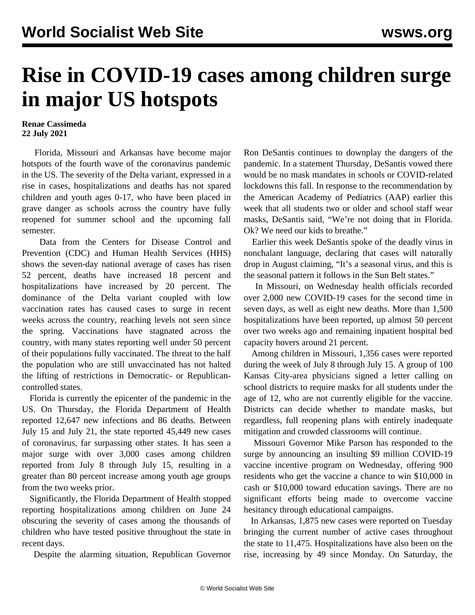## **Rise in COVID-19 cases among children surge in major US hotspots**

## **Renae Cassimeda 22 July 2021**

 Florida, Missouri and Arkansas have become major hotspots of the fourth wave of the coronavirus pandemic in the US. The severity of the Delta variant, expressed in a rise in cases, hospitalizations and deaths has not spared children and youth ages 0-17, who have been placed in grave danger as schools across the country have fully reopened for summer school and the upcoming fall semester.

 Data from the Centers for Disease Control and Prevention (CDC) and Human Health Services (HHS) shows the seven-day national average of cases has risen 52 percent, deaths have increased 18 percent and hospitalizations have increased by 20 percent. The dominance of the Delta variant coupled with low vaccination rates has caused cases to surge in recent weeks across the country, reaching levels not seen since the spring. Vaccinations have stagnated across the country, with many states reporting well under 50 percent of their populations fully vaccinated. The threat to the half the population who are still unvaccinated has not halted the lifting of restrictions in Democratic- or Republicancontrolled states.

 Florida is currently the epicenter of the pandemic in the US. On Thursday, the Florida Department of Health reported 12,647 new infections and 86 deaths. Between July 15 and July 21, the state reported 45,449 new cases of coronavirus, far surpassing other states. It has seen a major surge with over 3,000 cases among children reported from July 8 through July 15, resulting in a greater than 80 percent increase among youth age groups from the two weeks prior.

 Significantly, the Florida Department of Health stopped reporting hospitalizations among children on June 24 obscuring the severity of cases among the thousands of children who have tested positive throughout the state in recent days.

Despite the alarming situation, Republican Governor

Ron DeSantis continues to downplay the dangers of the pandemic. In a statement Thursday, DeSantis vowed there would be no mask mandates in schools or COVID-related lockdowns this fall. In response to the recommendation by the American Academy of Pediatrics (AAP) earlier this week that all students two or older and school staff wear masks, DeSantis said, "We're not doing that in Florida. Ok? We need our kids to breathe."

 Earlier this week DeSantis spoke of the deadly virus in nonchalant language, declaring that cases will naturally drop in August claiming, "It's a seasonal virus, and this is the seasonal pattern it follows in the Sun Belt states."

 In Missouri, on Wednesday health officials recorded over 2,000 new COVID-19 cases for the second time in seven days, as well as eight new deaths. More than 1,500 hospitalizations have been reported, up almost 50 percent over two weeks ago and remaining inpatient hospital bed capacity hovers around 21 percent.

 Among children in Missouri, 1,356 cases were reported during the week of July 8 through July 15. A group of 100 Kansas City-area physicians signed a letter calling on school districts to require masks for all students under the age of 12, who are not currently eligible for the vaccine. Districts can decide whether to mandate masks, but regardless, full reopening plans with entirely inadequate mitigation and crowded classrooms will continue.

 Missouri Governor Mike Parson has responded to the surge by announcing an insulting \$9 million COVID-19 vaccine incentive program on Wednesday, offering 900 residents who get the vaccine a chance to win \$10,000 in cash or \$10,000 toward education savings. There are no significant efforts being made to overcome vaccine hesitancy through educational campaigns.

 In Arkansas, 1,875 new cases were reported on Tuesday bringing the current number of active cases throughout the state to 11,475. Hospitalizations have also been on the rise, increasing by 49 since Monday. On Saturday, the